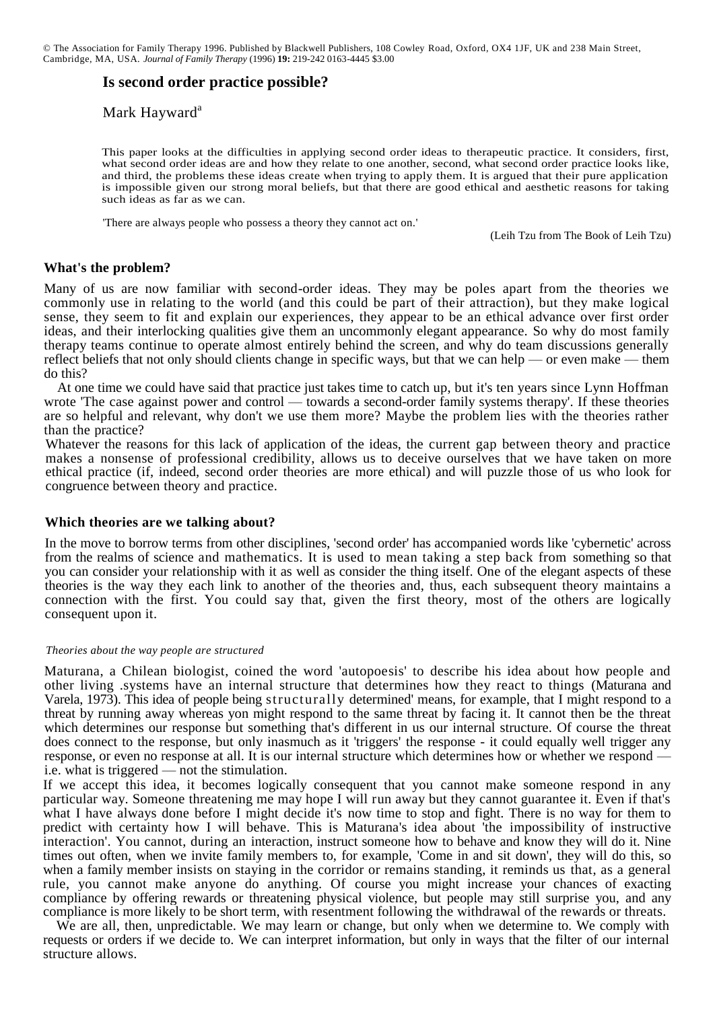# **Is second order practice possible?**

Mark Hayward<sup>a</sup>

This paper looks at the difficulties in applying second order ideas to therapeutic practice. It considers, first, what second order ideas are and how they relate to one another, second, what second order practice looks like, and third, the problems these ideas create when trying to apply them. It is argued that their pure application is impossible given our strong moral beliefs, but that there are good ethical and aesthetic reasons for taking such ideas as far as we can.

'There are always people who possess a theory they cannot act on.'

(Leih Tzu from The Book of Leih Tzu)

# **What's the problem?**

Many of us are now familiar with second-order ideas. They may be poles apart from the theories we commonly use in relating to the world (and this could be part of their attraction), but they make logical sense, they seem to fit and explain our experiences, they appear to be an ethical advance over first order ideas, and their interlocking qualities give them an uncommonly elegant appearance. So why do most family therapy teams continue to operate almost entirely behind the screen, and why do team discussions generally reflect beliefs that not only should clients change in specific ways, but that we can help — or even make — them do this?

At one time we could have said that practice just takes time to catch up, but it's ten years since Lynn Hoffman wrote 'The case against power and control — towards a second-order family systems therapy'. If these theories are so helpful and relevant, why don't we use them more? Maybe the problem lies with the theories rather than the practice?

Whatever the reasons for this lack of application of the ideas, the current gap between theory and practice makes a nonsense of professional credibility, allows us to deceive ourselves that we have taken on more ethical practice (if, indeed, second order theories are more ethical) and will puzzle those of us who look for congruence between theory and practice.

# **Which theories are we talking about?**

In the move to borrow terms from other disciplines, 'second order' has accompanied words like 'cybernetic' across from the realms of science and mathematics. It is used to mean taking a step back from something so that you can consider your relationship with it as well as consider the thing itself. One of the elegant aspects of these theories is the way they each link to another of the theories and, thus, each subsequent theory maintains a connection with the first. You could say that, given the first theory, most of the others are logically consequent upon it.

### *Theories about the way people are structured*

Maturana, a Chilean biologist, coined the word 'autopoesis' to describe his idea about how people and other living .systems have an internal structure that determines how they react to things (Maturana and Varela, 1973). This idea of people being structurally determined' means, for example, that I might respond to a threat by running away whereas yon might respond to the same threat by facing it. It cannot then be the threat which determines our response but something that's different in us our internal structure. Of course the threat does connect to the response, but only inasmuch as it 'triggers' the response - it could equally well trigger any response, or even no response at all. It is our internal structure which determines how or whether we respond i.e. what is triggered — not the stimulation.

If we accept this idea, it becomes logically consequent that you cannot make someone respond in any particular way. Someone threatening me may hope I will run away but they cannot guarantee it. Even if that's what I have always done before I might decide it's now time to stop and fight. There is no way for them to predict with certainty how I will behave. This is Maturana's idea about 'the impossibility of instructive interaction'. You cannot, during an interaction, instruct someone how to behave and know they will do it. Nine times out often, when we invite family members to, for example, 'Come in and sit down', they will do this, so when a family member insists on staying in the corridor or remains standing, it reminds us that, as a general rule, you cannot make anyone do anything. Of course you might increase your chances of exacting compliance by offering rewards or threatening physical violence, but people may still surprise you, and any compliance is more likely to be short term, with resentment following the withdrawal of the rewards or threats.

We are all, then, unpredictable. We may learn or change, but only when we determine to. We comply with requests or orders if we decide to. We can interpret information, but only in ways that the filter of our internal structure allows.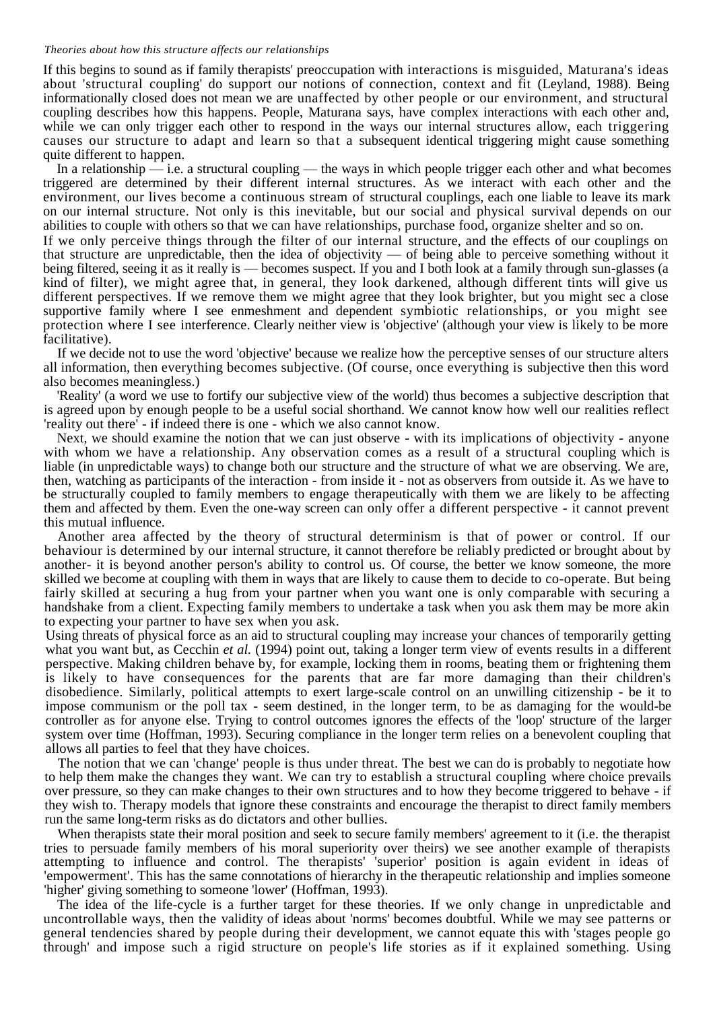#### *Theories about how this structure affects our relationships*

If this begins to sound as if family therapists' preoccupation with interactions is misguided, Maturana's ideas about 'structural coupling' do support our notions of connection, context and fit (Leyland, 1988). Being informationally closed does not mean we are unaffected by other people or our environment, and structural coupling describes how this happens. People, Maturana says, have complex interactions with each other and, while we can only trigger each other to respond in the ways our internal structures allow, each triggering causes our structure to adapt and learn so that a subsequent identical triggering might cause something quite different to happen.

In a relationship — i.e. a structural coupling — the ways in which people trigger each other and what becomes triggered are determined by their different internal structures. As we interact with each other and the environment, our lives become a continuous stream of structural couplings, each one liable to leave its mark on our internal structure. Not only is this inevitable, but our social and physical survival depends on our abilities to couple with others so that we can have relationships, purchase food, organize shelter and so on.

If we only perceive things through the filter of our internal structure, and the effects of our couplings on that structure are unpredictable, then the idea of objectivity — of being able to perceive something without it being filtered, seeing it as it really is — becomes suspect. If you and I both look at a family through sun-glasses (a kind of filter), we might agree that, in general, they look darkened, although different tints will give us different perspectives. If we remove them we might agree that they look brighter, but you might sec a close supportive family where I see enmeshment and dependent symbiotic relationships, or you might see protection where I see interference. Clearly neither view is 'objective' (although your view is likely to be more facilitative).

If we decide not to use the word 'objective' because we realize how the perceptive senses of our structure alters all information, then everything becomes subjective. (Of course, once everything is subjective then this word also becomes meaningless.)

'Reality' (a word we use to fortify our subjective view of the world) thus becomes a subjective description that is agreed upon by enough people to be a useful social shorthand. We cannot know how well our realities reflect 'reality out there' - if indeed there is one - which we also cannot know.

Next, we should examine the notion that we can just observe - with its implications of objectivity - anyone with whom we have a relationship. Any observation comes as a result of a structural coupling which is liable (in unpredictable ways) to change both our structure and the structure of what we are observing. We are, then, watching as participants of the interaction - from inside it - not as observers from outside it. As we have to be structurally coupled to family members to engage therapeutically with them we are likely to be affecting them and affected by them. Even the one-way screen can only offer a different perspective - it cannot prevent this mutual influence.

Another area affected by the theory of structural determinism is that of power or control. If our behaviour is determined by our internal structure, it cannot therefore be reliably predicted or brought about by another- it is beyond another person's ability to control us. Of course, the better we know someone, the more skilled we become at coupling with them in ways that are likely to cause them to decide to co-operate. But being fairly skilled at securing a hug from your partner when you want one is only comparable with securing a handshake from a client. Expecting family members to undertake a task when you ask them may be more akin to expecting your partner to have sex when you ask.

Using threats of physical force as an aid to structural coupling may increase your chances of temporarily getting what you want but, as Cecchin *et al.* (1994) point out, taking a longer term view of events results in a different perspective. Making children behave by, for example, locking them in rooms, beating them or frightening them is likely to have consequences for the parents that are far more damaging than their children's disobedience. Similarly, political attempts to exert large-scale control on an unwilling citizenship - be it to impose communism or the poll tax - seem destined, in the longer term, to be as damaging for the would-be controller as for anyone else. Trying to control outcomes ignores the effects of the 'loop' structure of the larger system over time (Hoffman, 1993). Securing compliance in the longer term relies on a benevolent coupling that allows all parties to feel that they have choices.

The notion that we can 'change' people is thus under threat. The best we can do is probably to negotiate how to help them make the changes they want. We can try to establish a structural coupling where choice prevails over pressure, so they can make changes to their own structures and to how they become triggered to behave - if they wish to. Therapy models that ignore these constraints and encourage the therapist to direct family members run the same long-term risks as do dictators and other bullies.

When therapists state their moral position and seek to secure family members' agreement to it (i.e. the therapist tries to persuade family members of his moral superiority over theirs) we see another example of therapists attempting to influence and control. The therapists' 'superior' position is again evident in ideas of 'empowerment'. This has the same connotations of hierarchy in the therapeutic relationship and implies someone 'higher' giving something to someone 'lower' (Hoffman, 1993).

The idea of the life-cycle is a further target for these theories. If we only change in unpredictable and uncontrollable ways, then the validity of ideas about 'norms' becomes doubtful. While we may see patterns or general tendencies shared by people during their development, we cannot equate this with 'stages people go through' and impose such a rigid structure on people's life stories as if it explained something. Using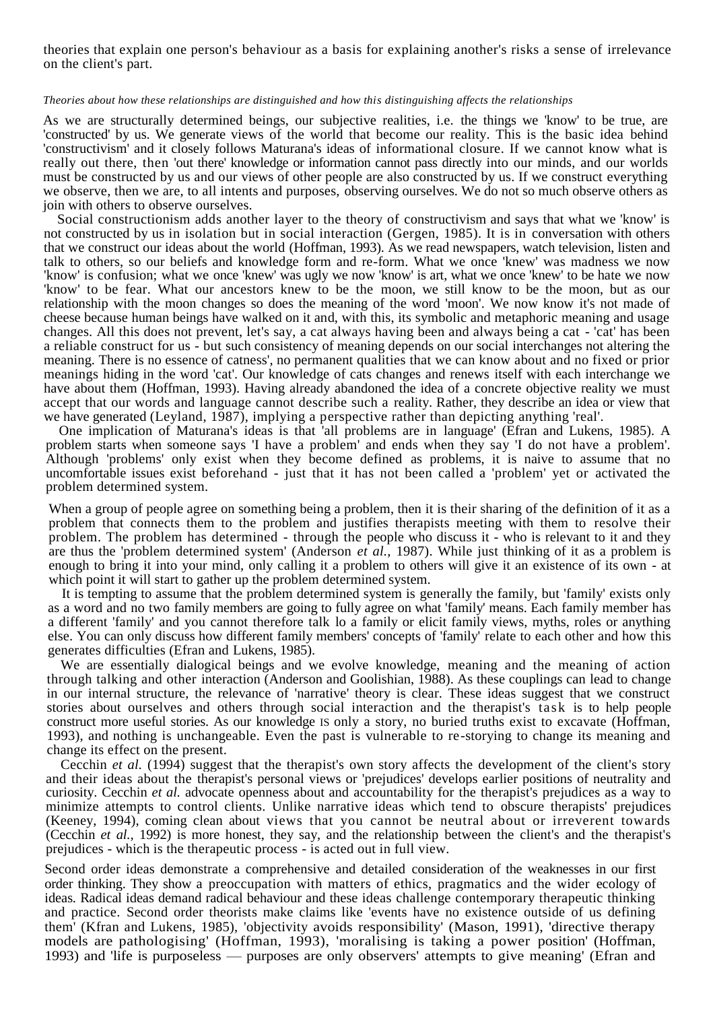theories that explain one person's behaviour as a basis for explaining another's risks a sense of irrelevance on the client's part.

#### *Theories about how these relationships are distinguished and how this distinguishing affects the relationships*

As we are structurally determined beings, our subjective realities, i.e. the things we 'know' to be true, are 'constructed' by us. We generate views of the world that become our reality. This is the basic idea behind 'constructivism' and it closely follows Maturana's ideas of informational closure. If we cannot know what is really out there, then 'out there' knowledge or information cannot pass directly into our minds, and our worlds must be constructed by us and our views of other people are also constructed by us. If we construct everything we observe, then we are, to all intents and purposes, observing ourselves. We do not so much observe others as join with others to observe ourselves.

Social constructionism adds another layer to the theory of constructivism and says that what we 'know' is not constructed by us in isolation but in social interaction (Gergen, 1985). It is in conversation with others that we construct our ideas about the world (Hoffman, 1993). As we read newspapers, watch television, listen and talk to others, so our beliefs and knowledge form and re-form. What we once 'knew' was madness we now 'know' is confusion; what we once 'knew' was ugly we now 'know' is art, what we once 'knew' to be hate we now 'know' to be fear. What our ancestors knew to be the moon, we still know to be the moon, but as our relationship with the moon changes so does the meaning of the word 'moon'. We now know it's not made of cheese because human beings have walked on it and, with this, its symbolic and metaphoric meaning and usage changes. All this does not prevent, let's say, a cat always having been and always being a cat - 'cat' has been a reliable construct for us - but such consistency of meaning depends on our social interchanges not altering the meaning. There is no essence of catness', no permanent qualities that we can know about and no fixed or prior meanings hiding in the word 'cat'. Our knowledge of cats changes and renews itself with each interchange we have about them (Hoffman, 1993). Having already abandoned the idea of a concrete objective reality we must accept that our words and language cannot describe such a reality. Rather, they describe an idea or view that we have generated (Leyland, 1987), implying a perspective rather than depicting anything 'real'.

One implication of Maturana's ideas is that 'all problems are in language' (Efran and Lukens, 1985). A problem starts when someone says 'I have a problem' and ends when they say 'I do not have a problem'. Although 'problems' only exist when they become defined as problems, it is naive to assume that no uncomfortable issues exist beforehand - just that it has not been called a 'problem' yet or activated the problem determined system.

When a group of people agree on something being a problem, then it is their sharing of the definition of it as a problem that connects them to the problem and justifies therapists meeting with them to resolve their problem. The problem has determined - through the people who discuss it - who is relevant to it and they are thus the 'problem determined system' (Anderson *et al.,* 1987). While just thinking of it as a problem is enough to bring it into your mind, only calling it a problem to others will give it an existence of its own - at which point it will start to gather up the problem determined system.

It is tempting to assume that the problem determined system is generally the family, but 'family' exists only as a word and no two family members are going to fully agree on what 'family' means. Each family member has a different 'family' and you cannot therefore talk lo a family or elicit family views, myths, roles or anything else. You can only discuss how different family members' concepts of 'family' relate to each other and how this generates difficulties (Efran and Lukens, 1985).

We are essentially dialogical beings and we evolve knowledge, meaning and the meaning of action through talking and other interaction (Anderson and Goolishian, 1988). As these couplings can lead to change in our internal structure, the relevance of 'narrative' theory is clear. These ideas suggest that we construct stories about ourselves and others through social interaction and the therapist's task is to help people construct more useful stories. As our knowledge IS only a story, no buried truths exist to excavate (Hoffman, 1993), and nothing is unchangeable. Even the past is vulnerable to re-storying to change its meaning and change its effect on the present.

Cecchin *et al.* (1994) suggest that the therapist's own story affects the development of the client's story and their ideas about the therapist's personal views or 'prejudices' develops earlier positions of neutrality and curiosity. Cecchin *et al.* advocate openness about and accountability for the therapist's prejudices as a way to minimize attempts to control clients. Unlike narrative ideas which tend to obscure therapists' prejudices (Keeney, 1994), coming clean about views that you cannot be neutral about or irreverent towards (Cecchin *et al.,* 1992) is more honest, they say, and the relationship between the client's and the therapist's prejudices - which is the therapeutic process - is acted out in full view.

Second order ideas demonstrate a comprehensive and detailed consideration of the weaknesses in our first order thinking. They show a preoccupation with matters of ethics, pragmatics and the wider ecology of ideas. Radical ideas demand radical behaviour and these ideas challenge contemporary therapeutic thinking and practice. Second order theorists make claims like 'events have no existence outside of us defining them' (Kfran and Lukens, 1985), 'objectivity avoids responsibility' (Mason, 1991), 'directive therapy models are pathologising' (Hoffman, 1993), 'moralising is taking a power position' (Hoffman, 1993) and 'life is purposeless — purposes are only observers' attempts to give meaning' (Efran and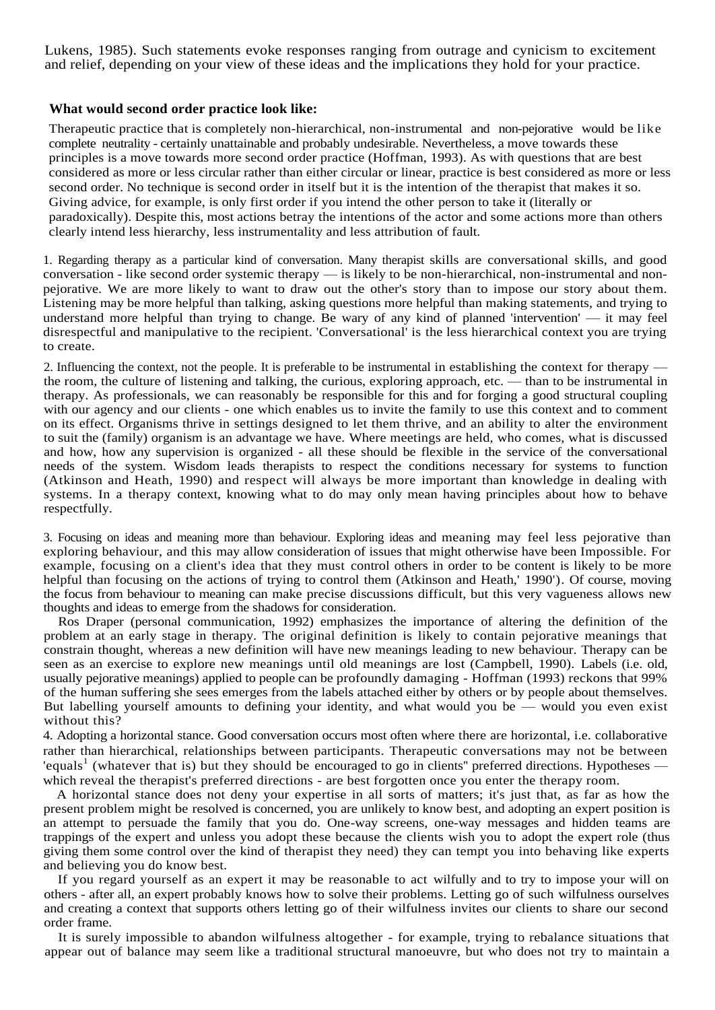Lukens, 1985). Such statements evoke responses ranging from outrage and cynicism to excitement and relief, depending on your view of these ideas and the implications they hold for your practice.

## **What would second order practice look like:**

Therapeutic practice that is completely non-hierarchical, non-instrumental and non-pejorative would be like complete neutrality - certainly unattainable and probably undesirable. Nevertheless, a move towards these principles is a move towards more second order practice (Hoffman, 1993). As with questions that are best considered as more or less circular rather than either circular or linear, practice is best considered as more or less second order. No technique is second order in itself but it is the intention of the therapist that makes it so. Giving advice, for example, is only first order if you intend the other person to take it (literally or paradoxically). Despite this, most actions betray the intentions of the actor and some actions more than others clearly intend less hierarchy, less instrumentality and less attribution of fault.

1. Regarding therapy as a particular kind of conversation. Many therapist skills are conversational skills, and good conversation - like second order systemic therapy — is likely to be non-hierarchical, non-instrumental and nonpejorative. We are more likely to want to draw out the other's story than to impose our story about them. Listening may be more helpful than talking, asking questions more helpful than making statements, and trying to understand more helpful than trying to change. Be wary of any kind of planned 'intervention' — it may feel disrespectful and manipulative to the recipient. 'Conversational' is the less hierarchical context you are trying to create.

2. Influencing the context, not the people. It is preferable to be instrumental in establishing the context for therapy the room, the culture of listening and talking, the curious, exploring approach, etc. — than to be instrumental in therapy. As professionals, we can reasonably be responsible for this and for forging a good structural coupling with our agency and our clients - one which enables us to invite the family to use this context and to comment on its effect. Organisms thrive in settings designed to let them thrive, and an ability to alter the environment to suit the (family) organism is an advantage we have. Where meetings are held, who comes, what is discussed and how, how any supervision is organized - all these should be flexible in the service of the conversational needs of the system. Wisdom leads therapists to respect the conditions necessary for systems to function (Atkinson and Heath, 1990) and respect will always be more important than knowledge in dealing with systems. In a therapy context, knowing what to do may only mean having principles about how to behave respectfully.

3. Focusing on ideas and meaning more than behaviour. Exploring ideas and meaning may feel less pejorative than exploring behaviour, and this may allow consideration of issues that might otherwise have been Impossible. For example, focusing on a client's idea that they must control others in order to be content is likely to be more helpful than focusing on the actions of trying to control them (Atkinson and Heath,' 1990'). Of course, moving the focus from behaviour to meaning can make precise discussions difficult, but this very vagueness allows new thoughts and ideas to emerge from the shadows for consideration.

Ros Draper (personal communication, 1992) emphasizes the importance of altering the definition of the problem at an early stage in therapy. The original definition is likely to contain pejorative meanings that constrain thought, whereas a new definition will have new meanings leading to new behaviour. Therapy can be seen as an exercise to explore new meanings until old meanings are lost (Campbell, 1990). Labels (i.e. old, usually pejorative meanings) applied to people can be profoundly damaging - Hoffman (1993) reckons that 99% of the human suffering she sees emerges from the labels attached either by others or by people about themselves. But labelling yourself amounts to defining your identity, and what would you be — would you even exist without this?

4. Adopting a horizontal stance. Good conversation occurs most often where there are horizontal, i.e. collaborative rather than hierarchical, relationships between participants. Therapeutic conversations may not be between 'equals<sup>1</sup> (whatever that is) but they should be encouraged to go in clients" preferred directions. Hypotheses which reveal the therapist's preferred directions - are best forgotten once you enter the therapy room.

A horizontal stance does not deny your expertise in all sorts of matters; it's just that, as far as how the present problem might be resolved is concerned, you are unlikely to know best, and adopting an expert position is an attempt to persuade the family that you do. One-way screens, one-way messages and hidden teams are trappings of the expert and unless you adopt these because the clients wish you to adopt the expert role (thus giving them some control over the kind of therapist they need) they can tempt you into behaving like experts and believing you do know best.

If you regard yourself as an expert it may be reasonable to act wilfully and to try to impose your will on others - after all, an expert probably knows how to solve their problems. Letting go of such wilfulness ourselves and creating a context that supports others letting go of their wilfulness invites our clients to share our second order frame.

It is surely impossible to abandon wilfulness altogether - for example, trying to rebalance situations that appear out of balance may seem like a traditional structural manoeuvre, but who does not try to maintain a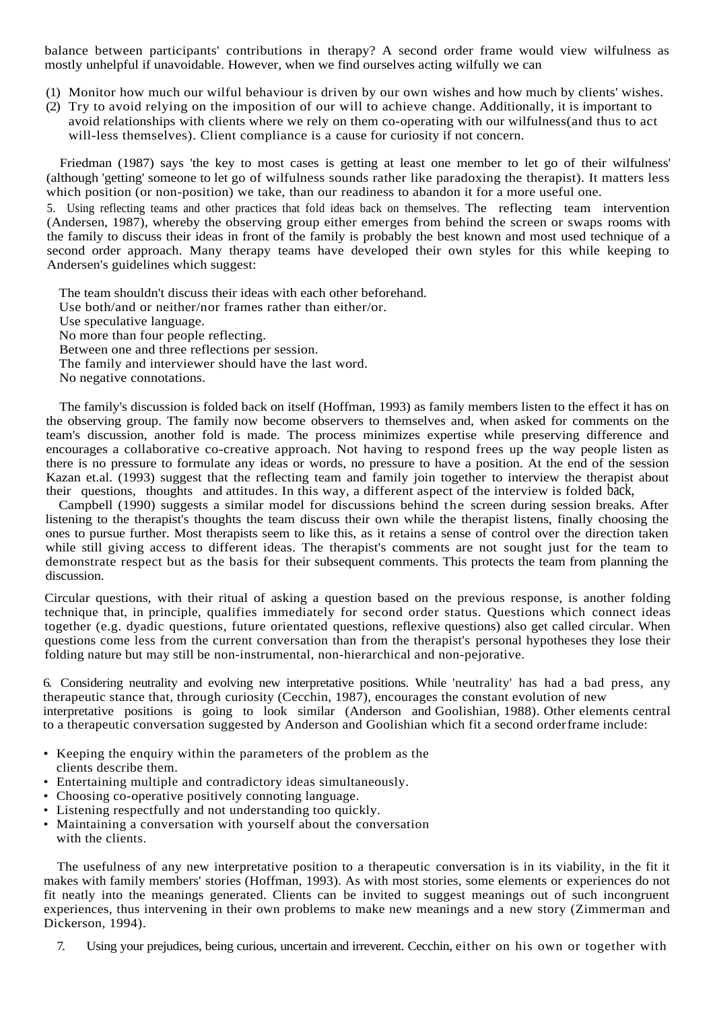balance between participants' contributions in therapy? A second order frame would view wilfulness as mostly unhelpful if unavoidable. However, when we find ourselves acting wilfully we can

- (1) Monitor how much our wilful behaviour is driven by our own wishes and how much by clients' wishes.
- (2) Try to avoid relying on the imposition of our will to achieve change. Additionally, it is important to avoid relationships with clients where we rely on them co-operating with our wilfulness(and thus to act will-less themselves). Client compliance is a cause for curiosity if not concern.

Friedman (1987) says 'the key to most cases is getting at least one member to let go of their wilfulness' (although 'getting' someone to let go of wilfulness sounds rather like paradoxing the therapist). It matters less which position (or non-position) we take, than our readiness to abandon it for a more useful one.

5. Using reflecting teams and other practices that fold ideas back on themselves. The reflecting team intervention (Andersen, 1987), whereby the observing group either emerges from behind the screen or swaps rooms with the family to discuss their ideas in front of the family is probably the best known and most used technique of a second order approach. Many therapy teams have developed their own styles for this while keeping to Andersen's guidelines which suggest:

The team shouldn't discuss their ideas with each other beforehand. Use both/and or neither/nor frames rather than either/or. Use speculative language. No more than four people reflecting. Between one and three reflections per session. The family and interviewer should have the last word. No negative connotations.

The family's discussion is folded back on itself (Hoffman, 1993) as family members listen to the effect it has on the observing group. The family now become observers to themselves and, when asked for comments on the team's discussion, another fold is made. The process minimizes expertise while preserving difference and encourages a collaborative co-creative approach. Not having to respond frees up the way people listen as there is no pressure to formulate any ideas or words, no pressure to have a position. At the end of the session Kazan et.al. (1993) suggest that the reflecting team and family join together to interview the therapist about their questions, thoughts and attitudes. In this way, a different aspect of the interview is folded back,

Campbell (1990) suggests a similar model for discussions behind the screen during session breaks. After listening to the therapist's thoughts the team discuss their own while the therapist listens, finally choosing the ones to pursue further. Most therapists seem to like this, as it retains a sense of control over the direction taken while still giving access to different ideas. The therapist's comments are not sought just for the team to demonstrate respect but as the basis for their subsequent comments. This protects the team from planning the discussion.

Circular questions, with their ritual of asking a question based on the previous response, is another folding technique that, in principle, qualifies immediately for second order status. Questions which connect ideas together (e.g. dyadic questions, future orientated questions, reflexive questions) also get called circular. When questions come less from the current conversation than from the therapist's personal hypotheses they lose their folding nature but may still be non-instrumental, non-hierarchical and non-pejorative.

6. Considering neutrality and evolving new interpretative positions. While 'neutrality' has had a bad press, any therapeutic stance that, through curiosity (Cecchin, 1987), encourages the constant evolution of new interpretative positions is going to look similar (Anderson and Goolishian, 1988). Other elements central to a therapeutic conversation suggested by Anderson and Goolishian which fit a second orderframe include:

- Keeping the enquiry within the parameters of the problem as the clients describe them.
- Entertaining multiple and contradictory ideas simultaneously.
- Choosing co-operative positively connoting language.
- Listening respectfully and not understanding too quickly.
- Maintaining a conversation with yourself about the conversation with the clients.

The usefulness of any new interpretative position to a therapeutic conversation is in its viability, in the fit it makes with family members' stories (Hoffman, 1993). As with most stories, some elements or experiences do not fit neatly into the meanings generated. Clients can be invited to suggest meanings out of such incongruent experiences, thus intervening in their own problems to make new meanings and a new story (Zimmerman and Dickerson, 1994).

7. Using your prejudices, being curious, uncertain and irreverent. Cecchin, either on his own or together with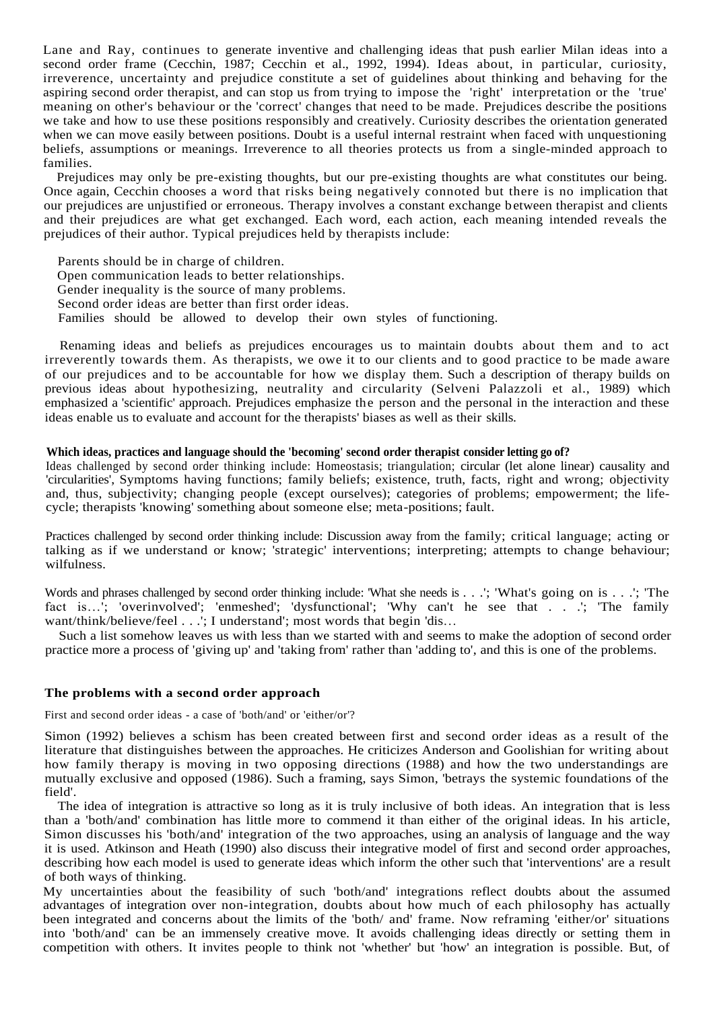Lane and Ray, continues to generate inventive and challenging ideas that push earlier Milan ideas into a second order frame (Cecchin, 1987; Cecchin et al., 1992, 1994). Ideas about, in particular, curiosity, irreverence, uncertainty and prejudice constitute a set of guidelines about thinking and behaving for the aspiring second order therapist, and can stop us from trying to impose the 'right' interpretation or the 'true' meaning on other's behaviour or the 'correct' changes that need to be made. Prejudices describe the positions we take and how to use these positions responsibly and creatively. Curiosity describes the orientation generated when we can move easily between positions. Doubt is a useful internal restraint when faced with unquestioning beliefs, assumptions or meanings. Irreverence to all theories protects us from a single-minded approach to families.

Prejudices may only be pre-existing thoughts, but our pre-existing thoughts are what constitutes our being. Once again, Cecchin chooses a word that risks being negatively connoted but there is no implication that our prejudices are unjustified or erroneous. Therapy involves a constant exchange between therapist and clients and their prejudices are what get exchanged. Each word, each action, each meaning intended reveals the prejudices of their author. Typical prejudices held by therapists include:

Parents should be in charge of children.

Open communication leads to better relationships.

- Gender inequality is the source of many problems.
- Second order ideas are better than first order ideas.
- Families should be allowed to develop their own styles of functioning.

Renaming ideas and beliefs as prejudices encourages us to maintain doubts about them and to act irreverently towards them. As therapists, we owe it to our clients and to good practice to be made aware of our prejudices and to be accountable for how we display them. Such a description of therapy builds on previous ideas about hypothesizing, neutrality and circularity (Selveni Palazzoli et al., 1989) which emphasized a 'scientific' approach. Prejudices emphasize the person and the personal in the interaction and these ideas enable us to evaluate and account for the therapists' biases as well as their skills.

# **Which ideas, practices and language should the 'becoming' second order therapist consider letting go of?**

Ideas challenged by second order thinking include: Homeostasis; triangulation; circular (let alone linear) causality and 'circularities', Symptoms having functions; family beliefs; existence, truth, facts, right and wrong; objectivity and, thus, subjectivity; changing people (except ourselves); categories of problems; empowerment; the lifecycle; therapists 'knowing' something about someone else; meta-positions; fault.

Practices challenged by second order thinking include: Discussion away from the family; critical language; acting or talking as if we understand or know; 'strategic' interventions; interpreting; attempts to change behaviour; wilfulness.

Words and phrases challenged by second order thinking include: 'What she needs is . . .'; 'What's going on is . . .'; 'The fact is…'; 'overinvolved'; 'enmeshed'; 'dysfunctional'; 'Why can't he see that . . .'; 'The family want/think/believe/feel . . .'; I understand'; most words that begin 'dis...

Such a list somehow leaves us with less than we started with and seems to make the adoption of second order practice more a process of 'giving up' and 'taking from' rather than 'adding to', and this is one of the problems.

# **The problems with a second order approach**

First and second order ideas - a case of 'both/and' or 'either/or'?

Simon (1992) believes a schism has been created between first and second order ideas as a result of the literature that distinguishes between the approaches. He criticizes Anderson and Goolishian for writing about how family therapy is moving in two opposing directions (1988) and how the two understandings are mutually exclusive and opposed (1986). Such a framing, says Simon, 'betrays the systemic foundations of the field'.

The idea of integration is attractive so long as it is truly inclusive of both ideas. An integration that is less than a 'both/and' combination has little more to commend it than either of the original ideas. In his article, Simon discusses his 'both/and' integration of the two approaches, using an analysis of language and the way it is used. Atkinson and Heath (1990) also discuss their integrative model of first and second order approaches, describing how each model is used to generate ideas which inform the other such that 'interventions' are a result of both ways of thinking.

My uncertainties about the feasibility of such 'both/and' integrations reflect doubts about the assumed advantages of integration over non-integration, doubts about how much of each philosophy has actually been integrated and concerns about the limits of the 'both/ and' frame. Now reframing 'either/or' situations into 'both/and' can be an immensely creative move. It avoids challenging ideas directly or setting them in competition with others. It invites people to think not 'whether' but 'how' an integration is possible. But, of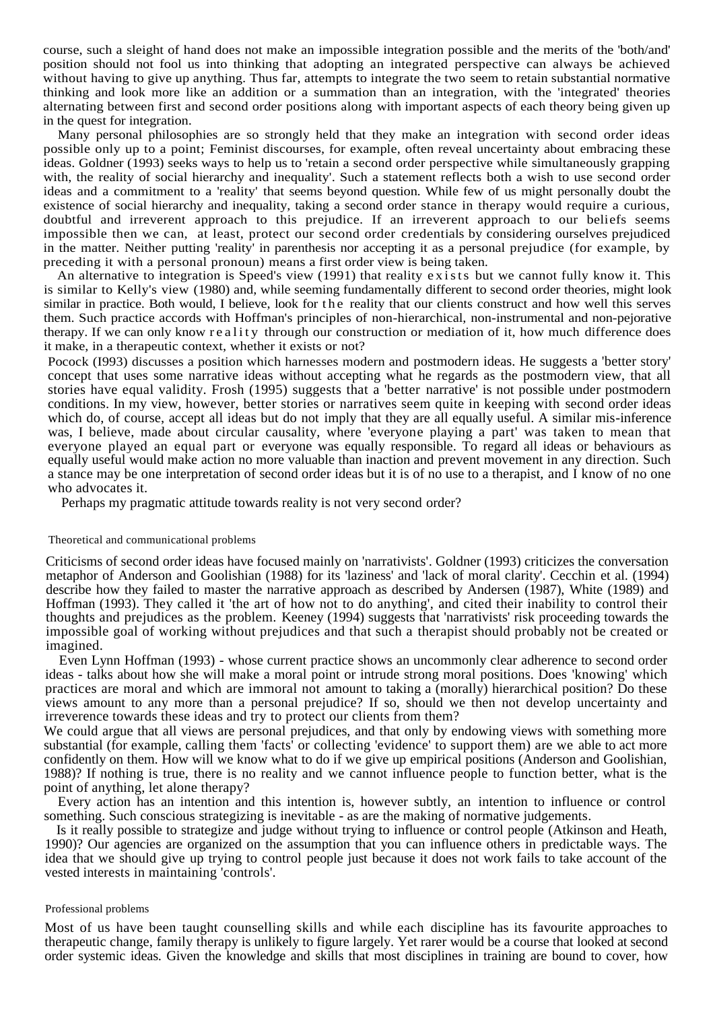course, such a sleight of hand does not make an impossible integration possible and the merits of the 'both/and' position should not fool us into thinking that adopting an integrated perspective can always be achieved without having to give up anything. Thus far, attempts to integrate the two seem to retain substantial normative thinking and look more like an addition or a summation than an integration, with the 'integrated' theories alternating between first and second order positions along with important aspects of each theory being given up in the quest for integration.

Many personal philosophies are so strongly held that they make an integration with second order ideas possible only up to a point; Feminist discourses, for example, often reveal uncertainty about embracing these ideas. Goldner (1993) seeks ways to help us to 'retain a second order perspective while simultaneously grapping with, the reality of social hierarchy and inequality'. Such a statement reflects both a wish to use second order ideas and a commitment to a 'reality' that seems beyond question. While few of us might personally doubt the existence of social hierarchy and inequality, taking a second order stance in therapy would require a curious, doubtful and irreverent approach to this prejudice. If an irreverent approach to our beliefs seems impossible then we can, at least, protect our second order credentials by considering ourselves prejudiced in the matter. Neither putting 'reality' in parenthesis nor accepting it as a personal prejudice (for example, by preceding it with a personal pronoun) means a first order view is being taken.

An alternative to integration is Speed's view (1991) that reality exists but we cannot fully know it. This is similar to Kelly's view (1980) and, while seeming fundamentally different to second order theories, might look similar in practice. Both would, I believe, look for the reality that our clients construct and how well this serves them. Such practice accords with Hoffman's principles of non-hierarchical, non-instrumental and non-pejorative therapy. If we can only know reality through our construction or mediation of it, how much difference does it make, in a therapeutic context, whether it exists or not?

Pocock (I993) discusses a position which harnesses modern and postmodern ideas. He suggests a 'better story' concept that uses some narrative ideas without accepting what he regards as the postmodern view, that all stories have equal validity. Frosh (1995) suggests that a 'better narrative' is not possible under postmodern conditions. In my view, however, better stories or narratives seem quite in keeping with second order ideas which do, of course, accept all ideas but do not imply that they are all equally useful. A similar mis-inference was, I believe, made about circular causality, where 'everyone playing a part' was taken to mean that everyone played an equal part or everyone was equally responsible. To regard all ideas or behaviours as equally useful would make action no more valuable than inaction and prevent movement in any direction. Such a stance may be one interpretation of second order ideas but it is of no use to a therapist, and I know of no one who advocates it.

Perhaps my pragmatic attitude towards reality is not very second order?

#### Theoretical and communicational problems

Criticisms of second order ideas have focused mainly on 'narrativists'. Goldner (1993) criticizes the conversation metaphor of Anderson and Goolishian (1988) for its 'laziness' and 'lack of moral clarity'. Cecchin et al. (1994) describe how they failed to master the narrative approach as described by Andersen (1987), White (1989) and Hoffman (1993). They called it 'the art of how not to do anything', and cited their inability to control their thoughts and prejudices as the problem. Keeney (1994) suggests that 'narrativists' risk proceeding towards the impossible goal of working without prejudices and that such a therapist should probably not be created or imagined.

Even Lynn Hoffman (1993) - whose current practice shows an uncommonly clear adherence to second order ideas - talks about how she will make a moral point or intrude strong moral positions. Does 'knowing' which practices are moral and which are immoral not amount to taking a (morally) hierarchical position? Do these views amount to any more than a personal prejudice? If so, should we then not develop uncertainty and irreverence towards these ideas and try to protect our clients from them?

We could argue that all views are personal prejudices, and that only by endowing views with something more substantial (for example, calling them 'facts' or collecting 'evidence' to support them) are we able to act more confidently on them. How will we know what to do if we give up empirical positions (Anderson and Goolishian, 1988)? If nothing is true, there is no reality and we cannot influence people to function better, what is the point of anything, let alone therapy?

Every action has an intention and this intention is, however subtly, an intention to influence or control something. Such conscious strategizing is inevitable - as are the making of normative judgements.

Is it really possible to strategize and judge without trying to influence or control people (Atkinson and Heath, 1990)? Our agencies are organized on the assumption that you can influence others in predictable ways. The idea that we should give up trying to control people just because it does not work fails to take account of the vested interests in maintaining 'controls'.

#### Professional problems

Most of us have been taught counselling skills and while each discipline has its favourite approaches to therapeutic change, family therapy is unlikely to figure largely. Yet rarer would be a course that looked at second order systemic ideas. Given the knowledge and skills that most disciplines in training are bound to cover, how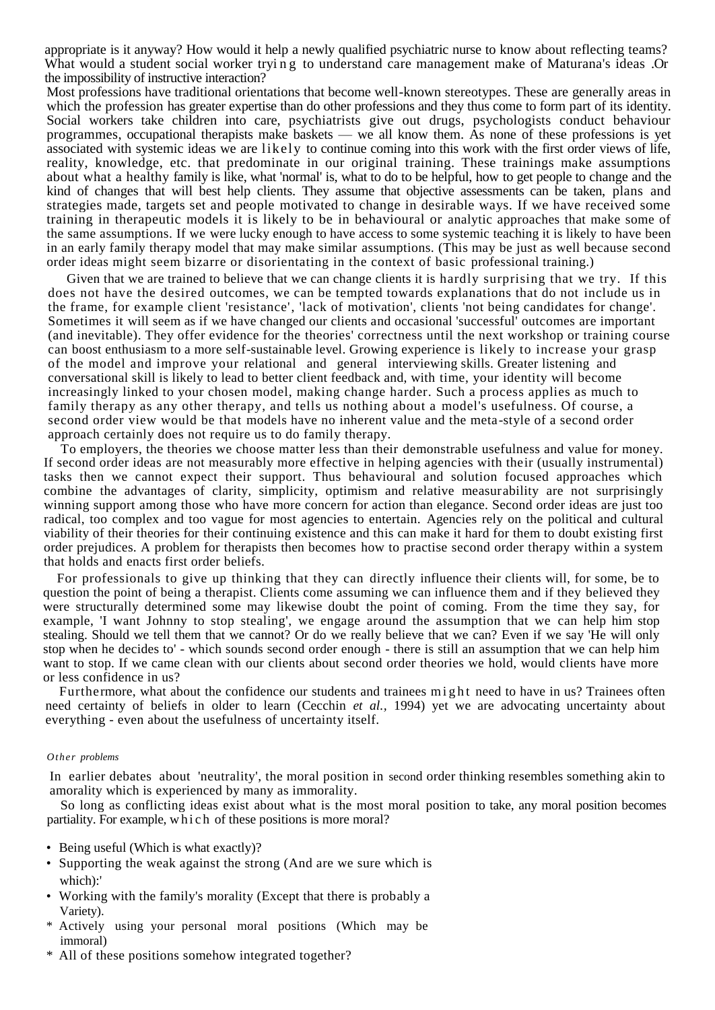appropriate is it anyway? How would it help a newly qualified psychiatric nurse to know about reflecting teams? What would a student social worker trying to understand care management make of Maturana's ideas .Or the impossibility of instructive interaction?

Most professions have traditional orientations that become well-known stereotypes. These are generally areas in which the profession has greater expertise than do other professions and they thus come to form part of its identity. Social workers take children into care, psychiatrists give out drugs, psychologists conduct behaviour programmes, occupational therapists make baskets — we all know them. As none of these professions is yet associated with systemic ideas we are likely to continue coming into this work with the first order views of life, reality, knowledge, etc. that predominate in our original training. These trainings make assumptions about what a healthy family is like, what 'normal' is, what to do to be helpful, how to get people to change and the kind of changes that will best help clients. They assume that objective assessments can be taken, plans and strategies made, targets set and people motivated to change in desirable ways. If we have received some training in therapeutic models it is likely to be in behavioural or analytic approaches that make some of the same assumptions. If we were lucky enough to have access to some systemic teaching it is likely to have been in an early family therapy model that may make similar assumptions. (This may be just as well because second order ideas might seem bizarre or disorientating in the context of basic professional training.)

Given that we are trained to believe that we can change clients it is hardly surprising that we try. If this does not have the desired outcomes, we can be tempted towards explanations that do not include us in the frame, for example client 'resistance', 'lack of motivation', clients 'not being candidates for change'. Sometimes it will seem as if we have changed our clients and occasional 'successful' outcomes are important (and inevitable). They offer evidence for the theories' correctness until the next workshop or training course can boost enthusiasm to a more self-sustainable level. Growing experience is likely to increase your grasp of the model and improve your relational and general interviewing skills. Greater listening and conversational skill is likely to lead to better client feedback and, with time, your identity will become increasingly linked to your chosen model, making change harder. Such a process applies as much to family therapy as any other therapy, and tells us nothing about a model's usefulness. Of course, a second order view would be that models have no inherent value and the meta-style of a second order approach certainly does not require us to do family therapy.

To employers, the theories we choose matter less than their demonstrable usefulness and value for money. If second order ideas are not measurably more effective in helping agencies with their (usually instrumental) tasks then we cannot expect their support. Thus behavioural and solution focused approaches which combine the advantages of clarity, simplicity, optimism and relative measurability are not surprisingly winning support among those who have more concern for action than elegance. Second order ideas are just too radical, too complex and too vague for most agencies to entertain. Agencies rely on the political and cultural viability of their theories for their continuing existence and this can make it hard for them to doubt existing first order prejudices. A problem for therapists then becomes how to practise second order therapy within a system that holds and enacts first order beliefs.

For professionals to give up thinking that they can directly influence their clients will, for some, be to question the point of being a therapist. Clients come assuming we can influence them and if they believed they were structurally determined some may likewise doubt the point of coming. From the time they say, for example, 'I want Johnny to stop stealing', we engage around the assumption that we can help him stop stealing. Should we tell them that we cannot? Or do we really believe that we can? Even if we say 'He will only stop when he decides to' - which sounds second order enough - there is still an assumption that we can help him want to stop. If we came clean with our clients about second order theories we hold, would clients have more or less confidence in us?

Furthermore, what about the confidence our students and trainees might need to have in us? Trainees often need certainty of beliefs in older to learn (Cecchin *et al.,* 1994) yet we are advocating uncertainty about everything - even about the usefulness of uncertainty itself.

### *Other problems*

In earlier debates about 'neutrality', the moral position in second order thinking resembles something akin to amorality which is experienced by many as immorality.

So long as conflicting ideas exist about what is the most moral position to take, any moral position becomes partiality. For example, which of these positions is more moral?

- Being useful (Which is what exactly)?
- Supporting the weak against the strong (And are we sure which is which):'
- Working with the family's morality (Except that there is probably a Variety).
- \* Actively using your personal moral positions (Which may be immoral)
- \* All of these positions somehow integrated together?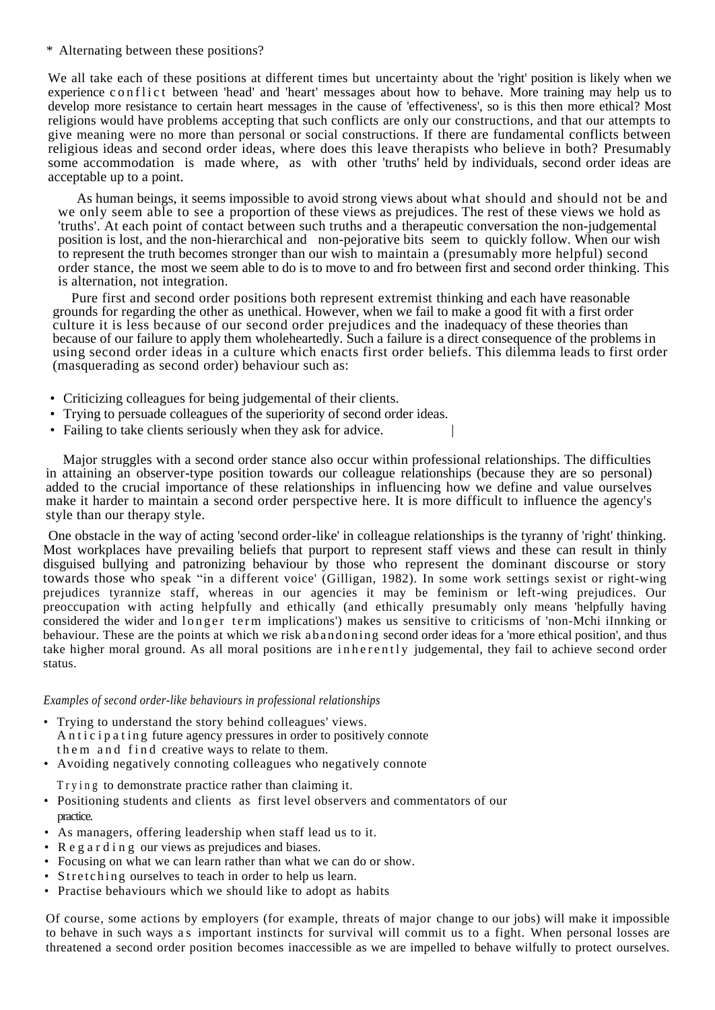\* Alternating between these positions?

We all take each of these positions at different times but uncertainty about the 'right' position is likely when we experience c on flict between 'head' and 'heart' messages about how to behave. More training may help us to develop more resistance to certain heart messages in the cause of 'effectiveness', so is this then more ethical? Most religions would have problems accepting that such conflicts are only our constructions, and that our attempts to give meaning were no more than personal or social constructions. If there are fundamental conflicts between religious ideas and second order ideas, where does this leave therapists who believe in both? Presumably some accommodation is made where, as with other 'truths' held by individuals, second order ideas are acceptable up to a point.

As human beings, it seems impossible to avoid strong views about what should and should not be and we only seem able to see a proportion of these views as prejudices. The rest of these views we hold as 'truths'. At each point of contact between such truths and a therapeutic conversation the non-judgemental position is lost, and the non-hierarchical and non-pejorative bits seem to quickly follow. When our wish to represent the truth becomes stronger than our wish to maintain a (presumably more helpful) second order stance, the most we seem able to do is to move to and fro between first and second order thinking. This is alternation, not integration.

Pure first and second order positions both represent extremist thinking and each have reasonable grounds for regarding the other as unethical. However, when we fail to make a good fit with a first order culture it is less because of our second order prejudices and the inadequacy of these theories than because of our failure to apply them wholeheartedly. Such a failure is a direct consequence of the problems in using second order ideas in a culture which enacts first order beliefs. This dilemma leads to first order (masquerading as second order) behaviour such as:

- Criticizing colleagues for being judgemental of their clients.
- Trying to persuade colleagues of the superiority of second order ideas.
- Failing to take clients seriously when they ask for advice.

Major struggles with a second order stance also occur within professional relationships. The difficulties in attaining an observer-type position towards our colleague relationships (because they are so personal) added to the crucial importance of these relationships in influencing how we define and value ourselves make it harder to maintain a second order perspective here. It is more difficult to influence the agency's style than our therapy style.

One obstacle in the way of acting 'second order-like' in colleague relationships is the tyranny of 'right' thinking. Most workplaces have prevailing beliefs that purport to represent staff views and these can result in thinly disguised bullying and patronizing behaviour by those who represent the dominant discourse or story towards those who speak "in a different voice' (Gilligan, 1982). In some work settings sexist or right-wing prejudices tyrannize staff, whereas in our agencies it may be feminism or left-wing prejudices. Our preoccupation with acting helpfully and ethically (and ethically presumably only means 'helpfully having considered the wider and longer term implications') makes us sensitive to criticisms of 'non-Mchi iInnking or behaviour. These are the points at which we risk abandoning second order ideas for a 'more ethical position', and thus take higher moral ground. As all moral positions are inherently judgemental, they fail to achieve second order status.

### *Examples of second order-like behaviours in professional relationships*

- Trying to understand the story behind colleagues' views. A n t i c i p a t i ng future agency pressures in order to positively connote them and find creative ways to relate to them.
- Avoiding negatively connoting colleagues who negatively connote

Trying to demonstrate practice rather than claiming it.

- Positioning students and clients as first level observers and commentators of our practice.
- As managers, offering leadership when staff lead us to it.
- R e g a r d i n g our views as prejudices and biases.
- Focusing on what we can learn rather than what we can do or show.
- Stretching ourselves to teach in order to help us learn.
- Practise behaviours which we should like to adopt as habits

Of course, some actions by employers (for example, threats of major change to our jobs) will make it impossible to behave in such ways as important instincts for survival will commit us to a fight. When personal losses are threatened a second order position becomes inaccessible as we are impelled to behave wilfully to protect ourselves.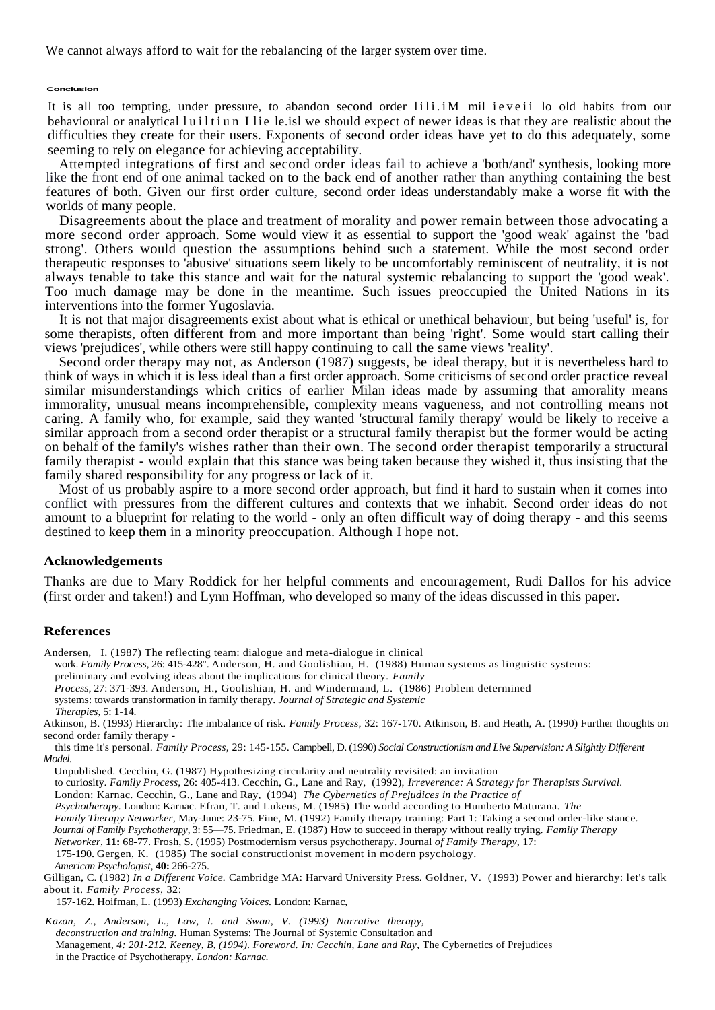We cannot always afford to wait for the rebalancing of the larger system over time.

#### **Conclusion**

It is all too tempting, under pressure, to abandon second order lili. iM mil i e v e i lo old habits from our behavioural or analytical luiltiun I lie le. isl we should expect of newer ideas is that they are realistic about the difficulties they create for their users. Exponents of second order ideas have yet to do this adequately, some seeming to rely on elegance for achieving acceptability.

Attempted integrations of first and second order ideas fail to achieve a 'both/and' synthesis, looking more like the front end of one animal tacked on to the back end of another rather than anything containing the best features of both. Given our first order culture, second order ideas understandably make a worse fit with the worlds of many people.

Disagreements about the place and treatment of morality and power remain between those advocating a more second order approach. Some would view it as essential to support the 'good weak' against the 'bad strong'. Others would question the assumptions behind such a statement. While the most second order therapeutic responses to 'abusive' situations seem likely to be uncomfortably reminiscent of neutrality, it is not always tenable to take this stance and wait for the natural systemic rebalancing to support the 'good weak'. Too much damage may be done in the meantime. Such issues preoccupied the United Nations in its interventions into the former Yugoslavia.

It is not that major disagreements exist about what is ethical or unethical behaviour, but being 'useful' is, for some therapists, often different from and more important than being 'right'. Some would start calling their views 'prejudices', while others were still happy continuing to call the same views 'reality'.

Second order therapy may not, as Anderson (1987) suggests, be ideal therapy, but it is nevertheless hard to think of ways in which it is less ideal than a first order approach. Some criticisms of second order practice reveal similar misunderstandings which critics of earlier Milan ideas made by assuming that amorality means immorality, unusual means incomprehensible, complexity means vagueness, and not controlling means not caring. A family who, for example, said they wanted 'structural family therapy' would be likely to receive a similar approach from a second order therapist or a structural family therapist but the former would be acting on behalf of the family's wishes rather than their own. The second order therapist temporarily a structural family therapist - would explain that this stance was being taken because they wished it, thus insisting that the family shared responsibility for any progress or lack of it.

Most of us probably aspire to a more second order approach, but find it hard to sustain when it comes into conflict with pressures from the different cultures and contexts that we inhabit. Second order ideas do not amount to a blueprint for relating to the world - only an often difficult way of doing therapy - and this seems destined to keep them in a minority preoccupation. Although I hope not.

### **Acknowledgements**

Thanks are due to Mary Roddick for her helpful comments and encouragement, Rudi Dallos for his advice (first order and taken!) and Lynn Hoffman, who developed so many of the ideas discussed in this paper.

### **References**

- Andersen, I. (1987) The reflecting team: dialogue and meta-dialogue in clinical
- work. *Family Process,* 26: 415-428". Anderson, H. and Goolishian, H. (1988) Human systems as linguistic systems:
	- preliminary and evolving ideas about the implications for clinical theory. *Family*
- *Process,* 27: 371-393. Anderson, H., Goolishian, H. and Windermand, L. (1986) Problem determined
- systems: towards transformation in family therapy. *Journal of Strategic and Systemic*

*Therapies,* 5: 1-14.

Atkinson, B. (1993) Hierarchy: The imbalance of risk. *Family Process,* 32: 167-170. Atkinson, B. and Heath, A. (1990) Further thoughts on second order family therapy -

this time it's personal. *Family Process,* 29: 145-155. Campbell, D. (1990) *Social Constructionism and Live Supervision: A Slightly Different Model.*

Unpublished. Cecchin, G. (1987) Hypothesizing circularity and neutrality revisited: an invitation

to curiosity. *Family Process,* 26: 405-413. Cecchin, G., Lane and Ray, (1992), *Irreverence: A Strategy for Therapists Survival.*

London: Karnac. Cecchin, G., Lane and Ray, (1994) *The Cybernetics of Prejudices in the Practice of*

*Psychotherapy.* London: Karnac. Efran, T. and Lukens, M. (1985) The world according to Humberto Maturana. *The*

- *Family Therapy Networker,* May-June: 23-75. Fine, M. (1992) Family therapy training: Part 1: Taking a second order-like stance.
- *Journal of Family Psychotherapy,* 3: 55—75. Friedman, E. (1987) How to succeed in therapy without really trying. *Family Therapy*

*Networker,* **11:** 68-77. Frosh, S. (1995) Postmodernism versus psychotherapy. Journal *of Family Therapy,* 17:

175-190. Gergen, K. (1985) The social constructionist movement in modern psychology. *American Psychologist,* **40:** 266-275.

Gilligan, C. (1982) *In a Different Voice.* Cambridge MA: Harvard University Press. Goldner, V. (1993) Power and hierarchy: let's talk about it. *Family Process,* 32:

157-162. Hoifman, L. (1993) *Exchanging Voices.* London: Karnac,

*Kazan, Z., Anderson, L., Law, I. and Swan, V. (1993) Narrative therapy, deconstruction and training.* Human Systems: The Journal of Systemic Consultation and Management, 4: 201-212. Keeney, B, (1994). Foreword. In: Cecchin, Lane and Ray, The Cybernetics of Prejudices in the Practice of Psychotherapy. *London: Karnac.*